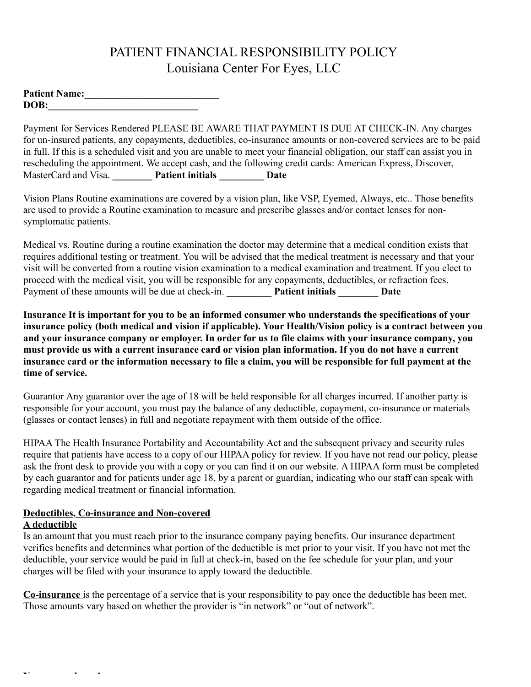## PATIENT FINANCIAL RESPONSIBILITY POLICY Louisiana Center For Eyes, LLC

| <b>Patient Name:</b> |  |
|----------------------|--|
| DOB:                 |  |

Payment for Services Rendered PLEASE BE AWARE THAT PAYMENT IS DUE AT CHECK-IN. Any charges for un-insured patients, any copayments, deductibles, co-insurance amounts or non-covered services are to be paid in full. If this is a scheduled visit and you are unable to meet your financial obligation, our staff can assist you in rescheduling the appointment. We accept cash, and the following credit cards: American Express, Discover, MasterCard and Visa. **\_\_\_\_\_\_\_\_ Patient initials \_\_\_\_\_\_\_\_\_ Date**

Vision Plans Routine examinations are covered by a vision plan, like VSP, Eyemed, Always, etc.. Those benefits are used to provide a Routine examination to measure and prescribe glasses and/or contact lenses for nonsymptomatic patients.

Medical vs. Routine during a routine examination the doctor may determine that a medical condition exists that requires additional testing or treatment. You will be advised that the medical treatment is necessary and that your visit will be converted from a routine vision examination to a medical examination and treatment. If you elect to proceed with the medical visit, you will be responsible for any copayments, deductibles, or refraction fees. Payment of these amounts will be due at check-in. **Patient initials Date** 

**Insurance It is important for you to be an informed consumer who understands the specifications of your insurance policy (both medical and vision if applicable). Your Health/Vision policy is a contract between you and your insurance company or employer. In order for us to file claims with your insurance company, you must provide us with a current insurance card or vision plan information. If you do not have a current insurance card or the information necessary to file a claim, you will be responsible for full payment at the time of service.**

Guarantor Any guarantor over the age of 18 will be held responsible for all charges incurred. If another party is responsible for your account, you must pay the balance of any deductible, copayment, co-insurance or materials (glasses or contact lenses) in full and negotiate repayment with them outside of the office.

HIPAA The Health Insurance Portability and Accountability Act and the subsequent privacy and security rules require that patients have access to a copy of our HIPAA policy for review. If you have not read our policy, please ask the front desk to provide you with a copy or you can find it on our website. A HIPAA form must be completed by each guarantor and for patients under age 18, by a parent or guardian, indicating who our staff can speak with regarding medical treatment or financial information.

# **Deductibles, Co-insurance and Non-covered**

### **A deductible**

**Non-covered services**

Is an amount that you must reach prior to the insurance company paying benefits. Our insurance department verifies benefits and determines what portion of the deductible is met prior to your visit. If you have not met the deductible, your service would be paid in full at check-in, based on the fee schedule for your plan, and your charges will be filed with your insurance to apply toward the deductible.

**Co-insurance** is the percentage of a service that is your responsibility to pay once the deductible has been met. Those amounts vary based on whether the provider is "in network" or "out of network".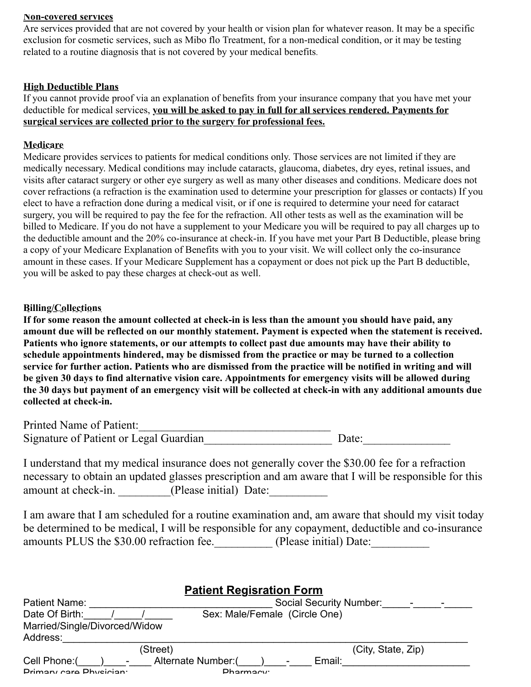#### **Non-covered services**

Are services provided that are not covered by your health or vision plan for whatever reason. It may be a specific exclusion for cosmetic services, such as Mibo flo Treatment, for a non-medical condition, or it may be testing related to a routine diagnosis that is not covered by your medical benefits.

#### **High Deductible Plans**

If you cannot provide proof via an explanation of benefits from your insurance company that you have met your deductible for medical services, **you will be asked to pay in full for all services rendered. Payments for surgical services are collected prior to the surgery for professional fees.**

#### **Medicare**

Medicare provides services to patients for medical conditions only. Those services are not limited if they are medically necessary. Medical conditions may include cataracts, glaucoma, diabetes, dry eyes, retinal issues, and visits after cataract surgery or other eye surgery as well as many other diseases and conditions. Medicare does not cover refractions (a refraction is the examination used to determine your prescription for glasses or contacts) If you elect to have a refraction done during a medical visit, or if one is required to determine your need for cataract surgery, you will be required to pay the fee for the refraction. All other tests as well as the examination will be billed to Medicare. If you do not have a supplement to your Medicare you will be required to pay all charges up to the deductible amount and the 20% co-insurance at check-in. If you have met your Part B Deductible, please bring a copy of your Medicare Explanation of Benefits with you to your visit. We will collect only the co-insurance amount in these cases. If your Medicare Supplement has a copayment or does not pick up the Part B deductible, you will be asked to pay these charges at check-out as well.

#### **Billing/Collections**

**If for some reason the amount collected at check-in is less than the amount you should have paid, any amount due will be reflected on our monthly statement. Payment is expected when the statement is received. Patients who ignore statements, or our attempts to collect past due amounts may have their ability to schedule appointments hindered, may be dismissed from the practice or may be turned to a collection service for further action. Patients who are dismissed from the practice will be notified in writing and will be given 30 days to find alternative vision care. Appointments for emergency visits will be allowed during the 30 days but payment of an emergency visit will be collected at check-in with any additional amounts due collected at check-in.**

| Printed Name of Patient:               |       |
|----------------------------------------|-------|
| Signature of Patient or Legal Guardian | Date: |

I understand that my medical insurance does not generally cover the \$30.00 fee for a refraction necessary to obtain an updated glasses prescription and am aware that I will be responsible for this amount at check-in. \_\_\_\_\_\_\_\_\_\_(Please initial) Date:

I am aware that I am scheduled for a routine examination and, am aware that should my visit today be determined to be medical, I will be responsible for any copayment, deductible and co-insurance amounts PLUS the \$30.00 refraction fee. (Please initial) Date:

| <b>Patient Regisration Form</b>           |                                                             |                                |                    |  |
|-------------------------------------------|-------------------------------------------------------------|--------------------------------|--------------------|--|
| Patient Name:                             |                                                             | <b>Social Security Number:</b> |                    |  |
| Date Of Birth:                            |                                                             | Sex: Male/Female (Circle One)  |                    |  |
| Married/Single/Divorced/Widow<br>Address: |                                                             |                                |                    |  |
|                                           | (Street)                                                    |                                | (City, State, Zip) |  |
| Cell Phone:(<br>Primary care Physician:   | Alternate Number:(<br>$\overline{\phantom{a}}$<br>Pharmacw: | Email:<br>$\qquad \qquad =$    |                    |  |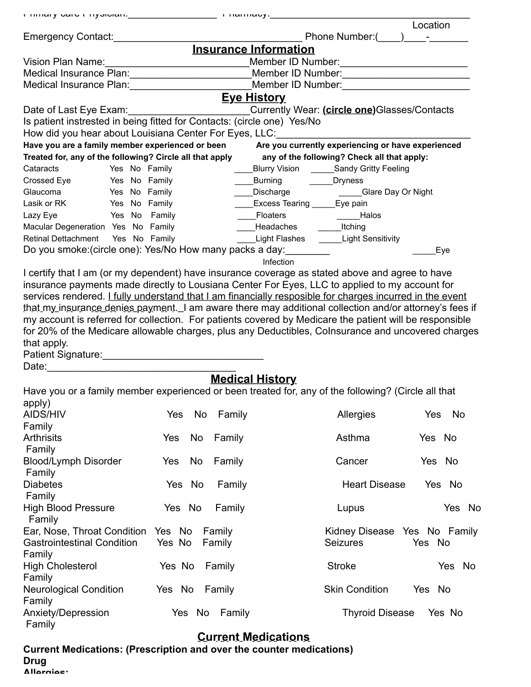|                                                                         |                     | т пінагу сагет пуэклан. <u>———————————</u> т паннасу. <sub>———————————————</sub>                                                                                                                                              |                                  |
|-------------------------------------------------------------------------|---------------------|-------------------------------------------------------------------------------------------------------------------------------------------------------------------------------------------------------------------------------|----------------------------------|
|                                                                         |                     |                                                                                                                                                                                                                               | Location                         |
| Emergency Contact:                                                      |                     | Phone Number:(                                                                                                                                                                                                                |                                  |
|                                                                         |                     | <b>Insurance Information</b>                                                                                                                                                                                                  |                                  |
|                                                                         |                     | Member ID Number:                                                                                                                                                                                                             |                                  |
|                                                                         |                     | Member ID Number:                                                                                                                                                                                                             |                                  |
| Medical Insurance Plan: Network and American Section 1996               |                     | Member ID Number: New York Street, New York Street, New York Street, New York Street, New York Street, New York Street, New York Street, New York Street, New York Street, New York Street, New York Street, New York Street, |                                  |
|                                                                         |                     | <b>Eye History</b>                                                                                                                                                                                                            |                                  |
| Date of Last Eye Exam:                                                  |                     | Currently Wear: (circle one) Glasses/Contacts                                                                                                                                                                                 |                                  |
| Is patient instrested in being fitted for Contacts: (circle one) Yes/No |                     |                                                                                                                                                                                                                               |                                  |
|                                                                         |                     | How did you hear about Louisiana Center For Eyes, LLC:                                                                                                                                                                        |                                  |
| Have you are a family member experienced or been                        |                     | Are you currently experiencing or have experienced                                                                                                                                                                            |                                  |
| Treated for, any of the following? Circle all that apply                |                     | any of the following? Check all that apply:                                                                                                                                                                                   |                                  |
| Cataracts<br>Yes No Family                                              |                     | Blurry Vision ______Sandy Gritty Feeling                                                                                                                                                                                      |                                  |
| Yes No Family<br>Crossed Eye                                            |                     | Burning <b>Communish Disk Lines</b>                                                                                                                                                                                           |                                  |
| Glaucoma<br>Yes No Family                                               |                     | ____Discharge ______________Glare Day Or Night                                                                                                                                                                                |                                  |
| Lasik or RK Yes No Family                                               |                     | <b>Excess Tearing ______Eye pain</b>                                                                                                                                                                                          |                                  |
| Yes No Family<br>Lazy Eye                                               |                     | Floaters _______________________Halos                                                                                                                                                                                         |                                  |
| Macular Degeneration Yes No Family                                      |                     | Headaches Itching                                                                                                                                                                                                             |                                  |
| Retinal Dettachment  Yes No Family                                      |                     | Light Flashes ______Light Sensitivity                                                                                                                                                                                         |                                  |
| Do you smoke: (circle one): Yes/No How many packs a day:                |                     |                                                                                                                                                                                                                               | Eye                              |
|                                                                         |                     | Infection                                                                                                                                                                                                                     |                                  |
|                                                                         |                     | I certify that I am (or my dependent) have insurance coverage as stated above and agree to have                                                                                                                               |                                  |
|                                                                         |                     | insurance payments made directly to Lousiana Center For Eyes, LLC to applied to my account for                                                                                                                                |                                  |
|                                                                         |                     | services rendered. I fully understand that I am financially resposible for charges incurred in the event                                                                                                                      |                                  |
|                                                                         |                     | that my insurance denies payment. I am aware there may additional collection and/or attorney's fees if                                                                                                                        |                                  |
|                                                                         |                     | my account is referred for collection. For patients covered by Medicare the patient will be responsible                                                                                                                       |                                  |
|                                                                         |                     | for 20% of the Medicare allowable charges, plus any Deductibles, Colnsurance and uncovered charges                                                                                                                            |                                  |
| that apply.                                                             |                     |                                                                                                                                                                                                                               |                                  |
| Patient Signature: Material Accords Patient Signature:                  |                     |                                                                                                                                                                                                                               |                                  |
| Date:                                                                   |                     |                                                                                                                                                                                                                               |                                  |
|                                                                         |                     | <b>Medical History</b>                                                                                                                                                                                                        |                                  |
|                                                                         |                     | Have you or a family member experienced or been treated for, any of the following? (Circle all that                                                                                                                           |                                  |
| apply)                                                                  |                     |                                                                                                                                                                                                                               |                                  |
| <b>AIDS/HIV</b>                                                         | No<br>Family<br>Yes | Allergies                                                                                                                                                                                                                     | No<br>Yes                        |
| Family                                                                  |                     |                                                                                                                                                                                                                               |                                  |
| <b>Arthrisits</b>                                                       | Yes<br>No<br>Family | Asthma                                                                                                                                                                                                                        | Yes No                           |
| Family                                                                  |                     |                                                                                                                                                                                                                               |                                  |
| <b>Blood/Lymph Disorder</b>                                             | No<br>Yes<br>Family | Cancer                                                                                                                                                                                                                        | Yes No                           |
| Family                                                                  |                     |                                                                                                                                                                                                                               |                                  |
| <b>Diabetes</b>                                                         | Yes No<br>Family    | <b>Heart Disease</b>                                                                                                                                                                                                          | Yes No                           |
| Family                                                                  |                     |                                                                                                                                                                                                                               |                                  |
| <b>High Blood Pressure</b>                                              | Yes No<br>Family    | Lupus                                                                                                                                                                                                                         | Yes No                           |
| Family                                                                  |                     |                                                                                                                                                                                                                               |                                  |
| Ear, Nose, Throat Condition Yes No                                      | Family              |                                                                                                                                                                                                                               | Kidney Disease Yes No Family     |
| <b>Gastrointestinal Condition</b>                                       | Yes No<br>Family    | <b>Seizures</b>                                                                                                                                                                                                               | Yes No                           |
| Family                                                                  |                     |                                                                                                                                                                                                                               |                                  |
| <b>High Cholesterol</b>                                                 | Yes No<br>Family    | <b>Stroke</b>                                                                                                                                                                                                                 | Yes No                           |
| Family                                                                  |                     |                                                                                                                                                                                                                               |                                  |
| <b>Neurological Condition</b>                                           | Yes No<br>Family    | <b>Skin Condition</b>                                                                                                                                                                                                         | Yes No                           |
| Family                                                                  |                     |                                                                                                                                                                                                                               |                                  |
| Anxiety/Depression                                                      | Yes No<br>Family    |                                                                                                                                                                                                                               | <b>Thyroid Disease</b><br>Yes No |
| Family                                                                  |                     |                                                                                                                                                                                                                               |                                  |
|                                                                         |                     | <b>Current Medications</b>                                                                                                                                                                                                    |                                  |

## **Current Medications: (Prescription and over the counter medications) Drug**  $\blacksquare$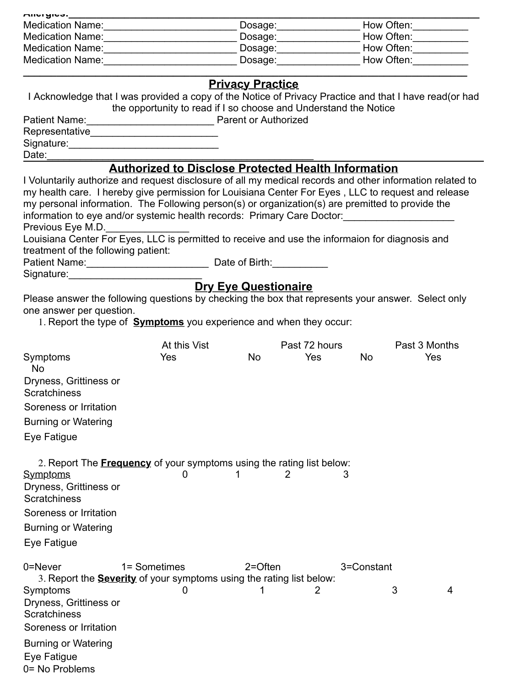| <b>Allal Algeb</b>      |         |            |
|-------------------------|---------|------------|
| <b>Medication Name:</b> | Dosage: | How Often: |
| <b>Medication Name:</b> | Dosage: | How Often: |
| <b>Medication Name:</b> | Dosage: | How Often: |
| <b>Medication Name:</b> | Dosage: | How Often: |

|                                                                                                                                                                                                                                                                                                                                                                                                |                                                                  | <b>Privacy Practice</b> |               |            |               |     |
|------------------------------------------------------------------------------------------------------------------------------------------------------------------------------------------------------------------------------------------------------------------------------------------------------------------------------------------------------------------------------------------------|------------------------------------------------------------------|-------------------------|---------------|------------|---------------|-----|
| I Acknowledge that I was provided a copy of the Notice of Privacy Practice and that I have read(or had                                                                                                                                                                                                                                                                                         | the opportunity to read if I so choose and Understand the Notice |                         |               |            |               |     |
|                                                                                                                                                                                                                                                                                                                                                                                                |                                                                  |                         |               |            |               |     |
|                                                                                                                                                                                                                                                                                                                                                                                                |                                                                  |                         |               |            |               |     |
|                                                                                                                                                                                                                                                                                                                                                                                                |                                                                  |                         |               |            |               |     |
| Date:__________                                                                                                                                                                                                                                                                                                                                                                                |                                                                  |                         |               |            |               |     |
| I Voluntarily authorize and request disclosure of all my medical records and other information related to<br>my health care. I hereby give permission for Louisiana Center For Eyes, LLC to request and release<br>my personal information. The Following person(s) or organization(s) are premitted to provide the<br>information to eye and/or systemic health records: Primary Care Doctor: | <b>Authorized to Disclose Protected Health Information</b>       |                         |               |            |               |     |
| Previous Eye M.D.                                                                                                                                                                                                                                                                                                                                                                              |                                                                  |                         |               |            |               |     |
| Louisiana Center For Eyes, LLC is permitted to receive and use the informaion for diagnosis and                                                                                                                                                                                                                                                                                                |                                                                  |                         |               |            |               |     |
| treatment of the following patient:                                                                                                                                                                                                                                                                                                                                                            |                                                                  |                         |               |            |               |     |
| Patient Name: __________________________________ Date of Birth: ________________                                                                                                                                                                                                                                                                                                               |                                                                  |                         |               |            |               |     |
| Signature: Signature:                                                                                                                                                                                                                                                                                                                                                                          |                                                                  |                         |               |            |               |     |
| <b>Dry Eye Questionaire</b><br>Please answer the following questions by checking the box that represents your answer. Select only<br>one answer per question.<br>1. Report the type of <b>Symptoms</b> you experience and when they occur:                                                                                                                                                     |                                                                  |                         |               |            |               |     |
|                                                                                                                                                                                                                                                                                                                                                                                                | At this Vist                                                     |                         | Past 72 hours |            | Past 3 Months |     |
| Symptoms<br>No                                                                                                                                                                                                                                                                                                                                                                                 | Yes                                                              | <b>No</b>               | Yes           | <b>No</b>  |               | Yes |
| Dryness, Grittiness or<br>Scratchiness                                                                                                                                                                                                                                                                                                                                                         |                                                                  |                         |               |            |               |     |
| Soreness or Irritation                                                                                                                                                                                                                                                                                                                                                                         |                                                                  |                         |               |            |               |     |
| <b>Burning or Watering</b>                                                                                                                                                                                                                                                                                                                                                                     |                                                                  |                         |               |            |               |     |
| Eye Fatigue                                                                                                                                                                                                                                                                                                                                                                                    |                                                                  |                         |               |            |               |     |
| 2. Report The <b>Frequency</b> of your symptoms using the rating list below:                                                                                                                                                                                                                                                                                                                   |                                                                  |                         |               |            |               |     |
| <u>Symptoms</u><br>Dryness, Grittiness or<br><b>Scratchiness</b>                                                                                                                                                                                                                                                                                                                               | 0                                                                |                         | 3             |            |               |     |
| Soreness or Irritation                                                                                                                                                                                                                                                                                                                                                                         |                                                                  |                         |               |            |               |     |
| <b>Burning or Watering</b>                                                                                                                                                                                                                                                                                                                                                                     |                                                                  |                         |               |            |               |     |
| Eye Fatigue                                                                                                                                                                                                                                                                                                                                                                                    |                                                                  |                         |               |            |               |     |
| 0=Never<br>3. Report the <b>Severity</b> of your symptoms using the rating list below:<br>Symptoms                                                                                                                                                                                                                                                                                             | 1= Sometimes<br>0                                                | $2 =$ Often             | 2             | 3=Constant | 3             | 4   |
| Dryness, Grittiness or<br><b>Scratchiness</b><br>Soreness or Irritation                                                                                                                                                                                                                                                                                                                        |                                                                  |                         |               |            |               |     |
|                                                                                                                                                                                                                                                                                                                                                                                                |                                                                  |                         |               |            |               |     |
| <b>Burning or Watering</b>                                                                                                                                                                                                                                                                                                                                                                     |                                                                  |                         |               |            |               |     |

Eye Fatigue

0= No Problems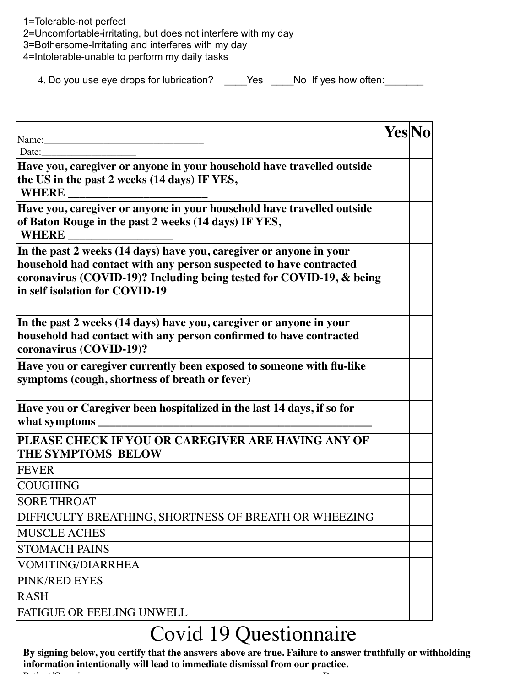0= No Problems 1=Tolerable-not perfect 2=Uncomfortable-irritating, but does not interfere with my day 3=Bothersome-Irritating and interferes with my day 4=Intolerable-unable to perform my daily tasks

4. Do you use eye drops for lubrication? \_\_\_\_Yes \_\_\_No If yes how often: \_\_\_\_\_\_

|                                                                                                                                                                                                                                                     | Yes No |  |
|-----------------------------------------------------------------------------------------------------------------------------------------------------------------------------------------------------------------------------------------------------|--------|--|
| Name:<br>Date:                                                                                                                                                                                                                                      |        |  |
| Have you, caregiver or anyone in your household have travelled outside<br>the US in the past 2 weeks (14 days) IF YES,<br><b>WHERE</b>                                                                                                              |        |  |
| Have you, caregiver or anyone in your household have travelled outside<br>of Baton Rouge in the past 2 weeks (14 days) IF YES,<br><b>WHERE</b>                                                                                                      |        |  |
| In the past 2 weeks (14 days) have you, caregiver or anyone in your<br>household had contact with any person suspected to have contracted<br>coronavirus (COVID-19)? Including being tested for COVID-19, & being<br>in self isolation for COVID-19 |        |  |
| In the past 2 weeks (14 days) have you, caregiver or anyone in your<br>household had contact with any person confirmed to have contracted<br>coronavirus (COVID-19)?                                                                                |        |  |
| Have you or caregiver currently been exposed to someone with flu-like<br>symptoms (cough, shortness of breath or fever)                                                                                                                             |        |  |
| Have you or Caregiver been hospitalized in the last 14 days, if so for<br>what symptoms _                                                                                                                                                           |        |  |
| PLEASE CHECK IF YOU OR CAREGIVER ARE HAVING ANY OF<br>THE SYMPTOMS BELOW                                                                                                                                                                            |        |  |
| <b>FEVER</b>                                                                                                                                                                                                                                        |        |  |
| <b>COUGHING</b>                                                                                                                                                                                                                                     |        |  |
| <b>SORE THROAT</b>                                                                                                                                                                                                                                  |        |  |
| DIFFICULTY BREATHING, SHORTNESS OF BREATH OR WHEEZING                                                                                                                                                                                               |        |  |
| <b>MUSCLE ACHES</b>                                                                                                                                                                                                                                 |        |  |
| <b>STOMACH PAINS</b>                                                                                                                                                                                                                                |        |  |
| VOMITING/DIARRHEA                                                                                                                                                                                                                                   |        |  |
| PINK/RED EYES                                                                                                                                                                                                                                       |        |  |
| <b>RASH</b>                                                                                                                                                                                                                                         |        |  |
| <b>FATIGUE OR FEELING UNWELL</b>                                                                                                                                                                                                                    |        |  |

# Covid 19 Questionnaire

**By signing below, you certify that the answers above are true. Failure to answer truthfully or withholding information intentionally will lead to immediate dismissal from our practice.**  $P$  is the contribution of  $P$  and  $P$  is the contribution of  $P$  and  $P$  and  $P$  is the contribution of  $P$